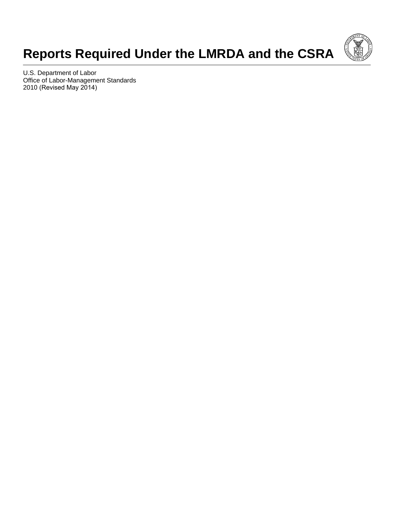# **Reports Required Under the LMRDA and the CSRA**



U.S. Department of Labor Office of Labor-Management Standards 2010 (Revised May 2014)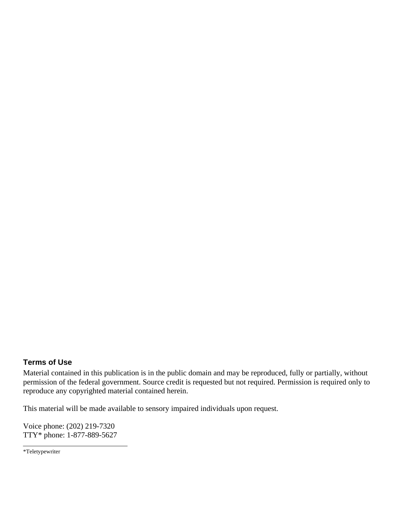#### **Terms of Use**

Material contained in this publication is in the public domain and may be reproduced, fully or partially, without permission of the federal government. Source credit is requested but not required. Permission is required only to reproduce any copyrighted material contained herein.

This material will be made available to sensory impaired individuals upon request.

Voice phone: (202) 219-7320 TTY\* phone: 1-877-889-5627

<sup>\*</sup>Teletypewriter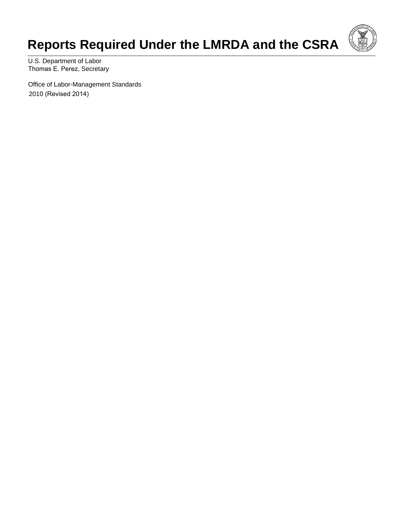# **Reports Required Under the LMRDA and the CSRA**



U.S. Department of Labor Thomas E. Perez, Secretary

Office of Labor-Management Standards 2010 (Revised 2014)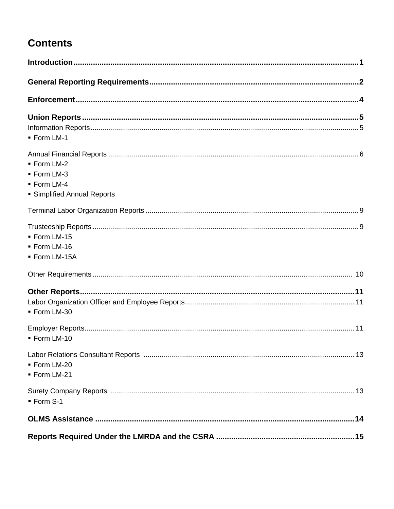## **Contents**

| - Form LM-1                 |  |
|-----------------------------|--|
|                             |  |
| - Form LM-2                 |  |
| ■ Form LM-3                 |  |
| - Form LM-4                 |  |
| • Simplified Annual Reports |  |
|                             |  |
|                             |  |
| - Form LM-15                |  |
| - Form LM-16                |  |
| - Form LM-15A               |  |
|                             |  |
|                             |  |
|                             |  |
| · Form LM-30                |  |
|                             |  |
| - Form LM-10                |  |
|                             |  |
| - Form LM-20                |  |
| · Form LM-21                |  |
|                             |  |
| ■ Form S-1                  |  |
|                             |  |
|                             |  |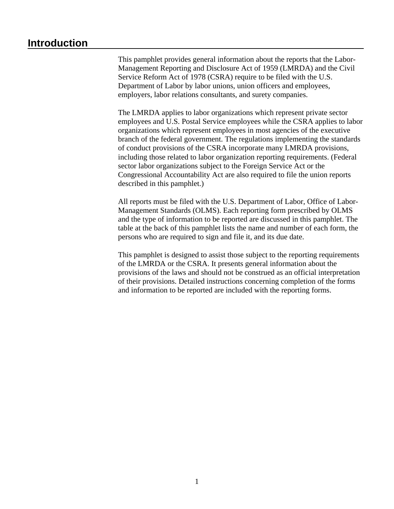### **Introduction**

This pamphlet provides general information about the reports that the Labor-Management Reporting and Disclosure Act of 1959 (LMRDA) and the Civil Service Reform Act of 1978 (CSRA) require to be filed with the U.S. Department of Labor by labor unions, union officers and employees, employers, labor relations consultants, and surety companies.

The LMRDA applies to labor organizations which represent private sector employees and U.S. Postal Service employees while the CSRA applies to labor organizations which represent employees in most agencies of the executive branch of the federal government. The regulations implementing the standards of conduct provisions of the CSRA incorporate many LMRDA provisions, including those related to labor organization reporting requirements. (Federal sector labor organizations subject to the Foreign Service Act or the Congressional Accountability Act are also required to file the union reports described in this pamphlet.)

All reports must be filed with the U.S. Department of Labor, Office of Labor-Management Standards (OLMS). Each reporting form prescribed by OLMS and the type of information to be reported are discussed in this pamphlet. The table at the back of this pamphlet lists the name and number of each form, the persons who are required to sign and file it, and its due date.

This pamphlet is designed to assist those subject to the reporting requirements of the LMRDA or the CSRA. It presents general information about the provisions of the laws and should not be construed as an official interpretation of their provisions. Detailed instructions concerning completion of the forms and information to be reported are included with the reporting forms.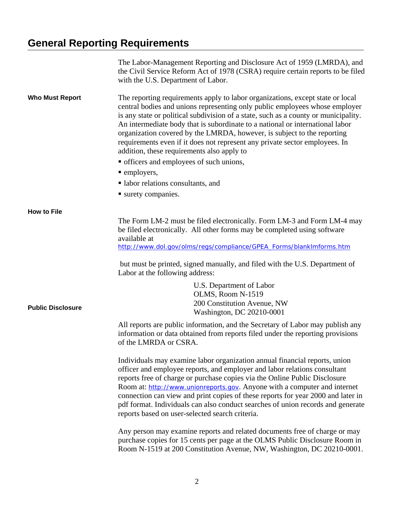# **General Reporting Requirements**

|                          | The Labor-Management Reporting and Disclosure Act of 1959 (LMRDA), and<br>the Civil Service Reform Act of 1978 (CSRA) require certain reports to be filed<br>with the U.S. Department of Labor.                                                                                                                                                                                                                                                                                                                                                                                           |
|--------------------------|-------------------------------------------------------------------------------------------------------------------------------------------------------------------------------------------------------------------------------------------------------------------------------------------------------------------------------------------------------------------------------------------------------------------------------------------------------------------------------------------------------------------------------------------------------------------------------------------|
| <b>Who Must Report</b>   | The reporting requirements apply to labor organizations, except state or local<br>central bodies and unions representing only public employees whose employer<br>is any state or political subdivision of a state, such as a county or municipality.<br>An intermediate body that is subordinate to a national or international labor<br>organization covered by the LMRDA, however, is subject to the reporting<br>requirements even if it does not represent any private sector employees. In<br>addition, these requirements also apply to<br>• officers and employees of such unions, |
|                          | • employers,                                                                                                                                                                                                                                                                                                                                                                                                                                                                                                                                                                              |
|                          | labor relations consultants, and                                                                                                                                                                                                                                                                                                                                                                                                                                                                                                                                                          |
|                          | surety companies.                                                                                                                                                                                                                                                                                                                                                                                                                                                                                                                                                                         |
|                          |                                                                                                                                                                                                                                                                                                                                                                                                                                                                                                                                                                                           |
| <b>How to File</b>       | The Form LM-2 must be filed electronically. Form LM-3 and Form LM-4 may<br>be filed electronically. All other forms may be completed using software<br>available at                                                                                                                                                                                                                                                                                                                                                                                                                       |
|                          | http://www.dol.gov/olms/regs/compliance/GPEA_Forms/blank mforms.htm                                                                                                                                                                                                                                                                                                                                                                                                                                                                                                                       |
|                          | but must be printed, signed manually, and filed with the U.S. Department of<br>Labor at the following address:                                                                                                                                                                                                                                                                                                                                                                                                                                                                            |
| <b>Public Disclosure</b> | U.S. Department of Labor<br>OLMS, Room N-1519<br>200 Constitution Avenue, NW<br>Washington, DC 20210-0001                                                                                                                                                                                                                                                                                                                                                                                                                                                                                 |
|                          | All reports are public information, and the Secretary of Labor may publish any<br>information or data obtained from reports filed under the reporting provisions<br>of the LMRDA or CSRA.                                                                                                                                                                                                                                                                                                                                                                                                 |
|                          | Individuals may examine labor organization annual financial reports, union<br>officer and employee reports, and employer and labor relations consultant<br>reports free of charge or purchase copies via the Online Public Disclosure<br>Room at: http://www.unionreports.gov. Anyone with a computer and internet<br>connection can view and print copies of these reports for year 2000 and later in<br>pdf format. Individuals can also conduct searches of union records and generate<br>reports based on user-selected search criteria.                                              |
|                          | Any person may examine reports and related documents free of charge or may<br>purchase copies for 15 cents per page at the OLMS Public Disclosure Room in<br>Room N-1519 at 200 Constitution Avenue, NW, Washington, DC 20210-0001.                                                                                                                                                                                                                                                                                                                                                       |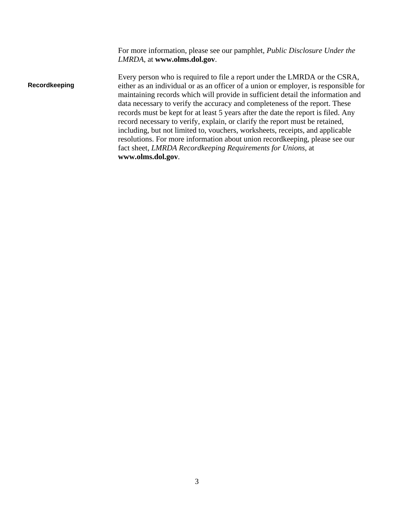For more information, please see our pamphlet, *Public Disclosure Under the LMRDA*, at **www.olms.dol.gov**.

**Recordkeeping** Every person who is required to file a report under the LMRDA or the CSRA, either as an individual or as an officer of a union or employer, is responsible for maintaining records which will provide in sufficient detail the information and data necessary to verify the accuracy and completeness of the report. These records must be kept for at least 5 years after the date the report is filed. Any record necessary to verify, explain, or clarify the report must be retained, including, but not limited to, vouchers, worksheets, receipts, and applicable resolutions. For more information about union recordkeeping, please see our fact sheet, *LMRDA Recordkeeping Requirements for Unions*, at **www.olms.dol.gov**.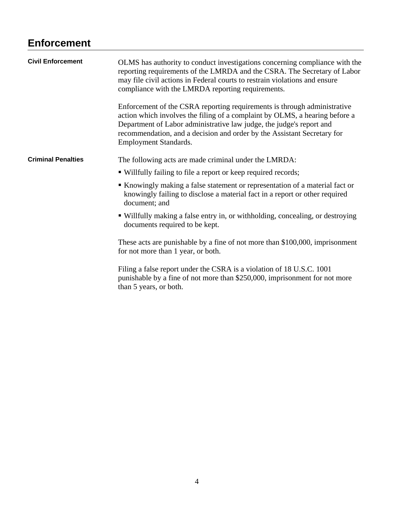## **Enforcement**

| <b>Civil Enforcement</b>  | OLMS has authority to conduct investigations concerning compliance with the<br>reporting requirements of the LMRDA and the CSRA. The Secretary of Labor<br>may file civil actions in Federal courts to restrain violations and ensure<br>compliance with the LMRDA reporting requirements.                                                 |
|---------------------------|--------------------------------------------------------------------------------------------------------------------------------------------------------------------------------------------------------------------------------------------------------------------------------------------------------------------------------------------|
|                           | Enforcement of the CSRA reporting requirements is through administrative<br>action which involves the filing of a complaint by OLMS, a hearing before a<br>Department of Labor administrative law judge, the judge's report and<br>recommendation, and a decision and order by the Assistant Secretary for<br><b>Employment Standards.</b> |
| <b>Criminal Penalties</b> | The following acts are made criminal under the LMRDA:                                                                                                                                                                                                                                                                                      |
|                           | • Willfully failing to file a report or keep required records;                                                                                                                                                                                                                                                                             |
|                           | Knowingly making a false statement or representation of a material fact or<br>knowingly failing to disclose a material fact in a report or other required<br>document; and                                                                                                                                                                 |
|                           | • Willfully making a false entry in, or withholding, concealing, or destroying<br>documents required to be kept.                                                                                                                                                                                                                           |
|                           | These acts are punishable by a fine of not more than \$100,000, imprisonment<br>for not more than 1 year, or both.                                                                                                                                                                                                                         |
|                           | Filing a false report under the CSRA is a violation of 18 U.S.C. 1001<br>punishable by a fine of not more than \$250,000, imprisonment for not more<br>than 5 years, or both.                                                                                                                                                              |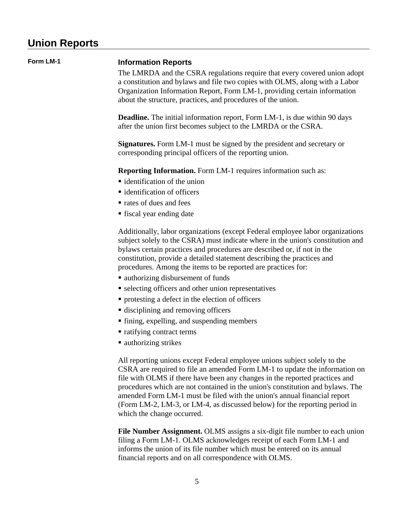# **Union Reports**

| Form LM-1 | <b>Information Reports</b><br>The LMRDA and the CSRA regulations require that every covered union adopt<br>a constitution and bylaws and file two copies with OLMS, along with a Labor<br>Organization Information Report, Form LM-1, providing certain information<br>about the structure, practices, and procedures of the union.                                                                                                                                                                               |
|-----------|-------------------------------------------------------------------------------------------------------------------------------------------------------------------------------------------------------------------------------------------------------------------------------------------------------------------------------------------------------------------------------------------------------------------------------------------------------------------------------------------------------------------|
|           | <b>Deadline.</b> The initial information report, Form LM-1, is due within 90 days<br>after the union first becomes subject to the LMRDA or the CSRA.                                                                                                                                                                                                                                                                                                                                                              |
|           | <b>Signatures.</b> Form LM-1 must be signed by the president and secretary or<br>corresponding principal officers of the reporting union.                                                                                                                                                                                                                                                                                                                                                                         |
|           | <b>Reporting Information.</b> Form LM-1 requires information such as:                                                                                                                                                                                                                                                                                                                                                                                                                                             |
|           | $\blacksquare$ identification of the union                                                                                                                                                                                                                                                                                                                                                                                                                                                                        |
|           | ■ identification of officers                                                                                                                                                                                                                                                                                                                                                                                                                                                                                      |
|           | rates of dues and fees                                                                                                                                                                                                                                                                                                                                                                                                                                                                                            |
|           | • fiscal year ending date                                                                                                                                                                                                                                                                                                                                                                                                                                                                                         |
|           | Additionally, labor organizations (except Federal employee labor organizations<br>subject solely to the CSRA) must indicate where in the union's constitution and<br>by laws certain practices and procedures are described or, if not in the<br>constitution, provide a detailed statement describing the practices and<br>procedures. Among the items to be reported are practices for:                                                                                                                         |
|           | • authorizing disbursement of funds                                                                                                                                                                                                                                                                                                                                                                                                                                                                               |
|           | • selecting officers and other union representatives                                                                                                                                                                                                                                                                                                                                                                                                                                                              |
|           | • protesting a defect in the election of officers                                                                                                                                                                                                                                                                                                                                                                                                                                                                 |
|           | • disciplining and removing officers                                                                                                                                                                                                                                                                                                                                                                                                                                                                              |
|           | • fining, expelling, and suspending members                                                                                                                                                                                                                                                                                                                                                                                                                                                                       |
|           | • ratifying contract terms                                                                                                                                                                                                                                                                                                                                                                                                                                                                                        |
|           | ■ authorizing strikes                                                                                                                                                                                                                                                                                                                                                                                                                                                                                             |
|           | All reporting unions except Federal employee unions subject solely to the<br>CSRA are required to file an amended Form LM-1 to update the information on<br>file with OLMS if there have been any changes in the reported practices and<br>procedures which are not contained in the union's constitution and bylaws. The<br>amended Form LM-1 must be filed with the union's annual financial report<br>(Form LM-2, LM-3, or LM-4, as discussed below) for the reporting period in<br>which the change occurred. |
|           | File Number Assignment. OLMS assigns a six-digit file number to each union<br>filing a Form LM-1. OLMS acknowledges receipt of each Form LM-1 and<br>informs the union of its file number which must be entered on its annual                                                                                                                                                                                                                                                                                     |

financial reports and on all correspondence with OLMS.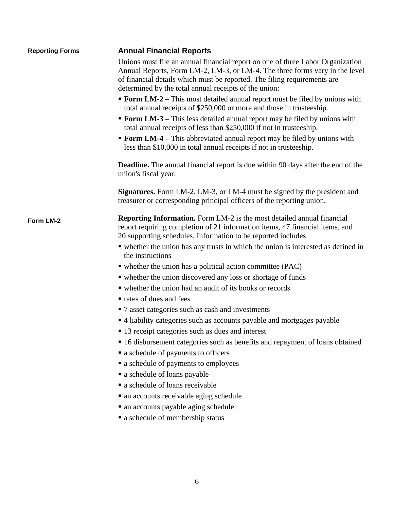| <b>Reporting Forms</b> | <b>Annual Financial Reports</b>                                                                                                                                                                                                                                                                    |  |  |  |
|------------------------|----------------------------------------------------------------------------------------------------------------------------------------------------------------------------------------------------------------------------------------------------------------------------------------------------|--|--|--|
|                        | Unions must file an annual financial report on one of three Labor Organization<br>Annual Reports, Form LM-2, LM-3, or LM-4. The three forms vary in the level<br>of financial details which must be reported. The filing requirements are<br>determined by the total annual receipts of the union: |  |  |  |
|                        | • Form LM-2 – This most detailed annual report must be filed by unions with<br>total annual receipts of \$250,000 or more and those in trusteeship.                                                                                                                                                |  |  |  |
|                        | • Form LM-3 – This less detailed annual report may be filed by unions with<br>total annual receipts of less than \$250,000 if not in trusteeship.                                                                                                                                                  |  |  |  |
|                        | • Form LM-4 – This abbreviated annual report may be filed by unions with<br>less than \$10,000 in total annual receipts if not in trusteeship.                                                                                                                                                     |  |  |  |
|                        | <b>Deadline.</b> The annual financial report is due within 90 days after the end of the<br>union's fiscal year.                                                                                                                                                                                    |  |  |  |
|                        | <b>Signatures.</b> Form LM-2, LM-3, or LM-4 must be signed by the president and<br>treasurer or corresponding principal officers of the reporting union.                                                                                                                                           |  |  |  |
| Form LM-2              | <b>Reporting Information.</b> Form LM-2 is the most detailed annual financial<br>report requiring completion of 21 information items, 47 financial items, and<br>20 supporting schedules. Information to be reported includes                                                                      |  |  |  |
|                        | • whether the union has any trusts in which the union is interested as defined in<br>the instructions                                                                                                                                                                                              |  |  |  |
|                        | $\bullet$ whether the union has a political action committee (PAC)                                                                                                                                                                                                                                 |  |  |  |
|                        | • whether the union discovered any loss or shortage of funds                                                                                                                                                                                                                                       |  |  |  |
|                        | • whether the union had an audit of its books or records                                                                                                                                                                                                                                           |  |  |  |
|                        | rates of dues and fees                                                                                                                                                                                                                                                                             |  |  |  |
|                        | • 7 asset categories such as cash and investments                                                                                                                                                                                                                                                  |  |  |  |
|                        | • 4 liability categories such as accounts payable and mortgages payable                                                                                                                                                                                                                            |  |  |  |
|                        | ■ 13 receipt categories such as dues and interest                                                                                                                                                                                                                                                  |  |  |  |
|                        | • 16 disbursement categories such as benefits and repayment of loans obtained                                                                                                                                                                                                                      |  |  |  |
|                        | • a schedule of payments to officers                                                                                                                                                                                                                                                               |  |  |  |
|                        | • a schedule of payments to employees                                                                                                                                                                                                                                                              |  |  |  |
|                        | • a schedule of loans payable                                                                                                                                                                                                                                                                      |  |  |  |
|                        | a schedule of loans receivable                                                                                                                                                                                                                                                                     |  |  |  |
|                        | • an accounts receivable aging schedule                                                                                                                                                                                                                                                            |  |  |  |
|                        | • an accounts payable aging schedule                                                                                                                                                                                                                                                               |  |  |  |
|                        | • a schedule of membership status                                                                                                                                                                                                                                                                  |  |  |  |
|                        |                                                                                                                                                                                                                                                                                                    |  |  |  |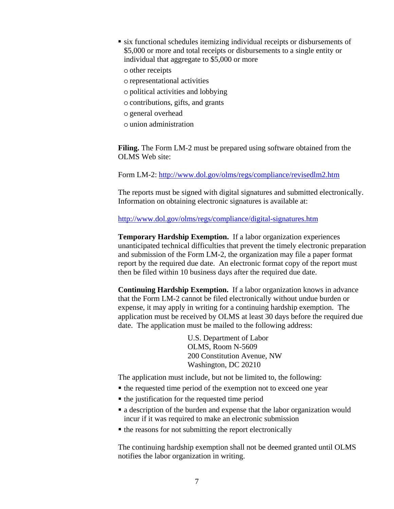- six functional schedules itemizing individual receipts or disbursements of \$5,000 or more and total receipts or disbursements to a single entity or individual that aggregate to \$5,000 or more
	- o other receipts
	- o representational activities
	- o political activities and lobbying
	- o contributions, gifts, and grants
	- o general overhead
	- o union administration

**Filing.** The Form LM-2 must be prepared using software obtained from the OLMS Web site:

Form LM-2: http://www.dol.gov/olms/regs/compliance/revisedlm2.htm

The reports must be signed with digital signatures and submitted electronically. Information on obtaining electronic signatures is available at:

http://www.dol.gov/olms/regs/compliance/digital-signatures.htm

**Temporary Hardship Exemption.** If a labor organization experiences unanticipated technical difficulties that prevent the timely electronic preparation and submission of the Form LM-2, the organization may file a paper format report by the required due date. An electronic format copy of the report must then be filed within 10 business days after the required due date.

**Continuing Hardship Exemption.** If a labor organization knows in advance that the Form LM-2 cannot be filed electronically without undue burden or expense, it may apply in writing for a continuing hardship exemption. The application must be received by OLMS at least 30 days before the required due date. The application must be mailed to the following address:

> U.S. Department of Labor OLMS, Room N-5609 200 Constitution Avenue, NW Washington, DC 20210

The application must include, but not be limited to, the following:

- the requested time period of the exemption not to exceed one year
- the justification for the requested time period
- a description of the burden and expense that the labor organization would incur if it was required to make an electronic submission
- the reasons for not submitting the report electronically

The continuing hardship exemption shall not be deemed granted until OLMS notifies the labor organization in writing.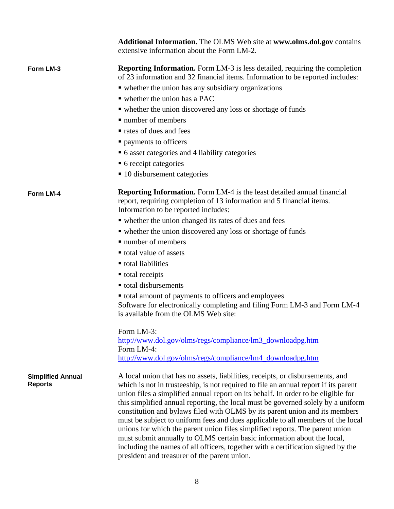|                                            | <b>Additional Information.</b> The OLMS Web site at www.olms.dol.gov contains<br>extensive information about the Form LM-2.                                                                                                                                                                                                                                                                                                                                                                                                                                                                                                                                                                                                                                                                                     |  |  |
|--------------------------------------------|-----------------------------------------------------------------------------------------------------------------------------------------------------------------------------------------------------------------------------------------------------------------------------------------------------------------------------------------------------------------------------------------------------------------------------------------------------------------------------------------------------------------------------------------------------------------------------------------------------------------------------------------------------------------------------------------------------------------------------------------------------------------------------------------------------------------|--|--|
| Form LM-3                                  | <b>Reporting Information.</b> Form LM-3 is less detailed, requiring the completion<br>of 23 information and 32 financial items. Information to be reported includes:                                                                                                                                                                                                                                                                                                                                                                                                                                                                                                                                                                                                                                            |  |  |
|                                            | • whether the union has any subsidiary organizations                                                                                                                                                                                                                                                                                                                                                                                                                                                                                                                                                                                                                                                                                                                                                            |  |  |
|                                            | $\blacksquare$ whether the union has a PAC                                                                                                                                                                                                                                                                                                                                                                                                                                                                                                                                                                                                                                                                                                                                                                      |  |  |
|                                            | • whether the union discovered any loss or shortage of funds                                                                                                                                                                                                                                                                                                                                                                                                                                                                                                                                                                                                                                                                                                                                                    |  |  |
|                                            | $\blacksquare$ number of members                                                                                                                                                                                                                                                                                                                                                                                                                                                                                                                                                                                                                                                                                                                                                                                |  |  |
|                                            | • rates of dues and fees                                                                                                                                                                                                                                                                                                                                                                                                                                                                                                                                                                                                                                                                                                                                                                                        |  |  |
|                                            | " payments to officers                                                                                                                                                                                                                                                                                                                                                                                                                                                                                                                                                                                                                                                                                                                                                                                          |  |  |
|                                            | • 6 asset categories and 4 liability categories                                                                                                                                                                                                                                                                                                                                                                                                                                                                                                                                                                                                                                                                                                                                                                 |  |  |
|                                            | • 6 receipt categories                                                                                                                                                                                                                                                                                                                                                                                                                                                                                                                                                                                                                                                                                                                                                                                          |  |  |
|                                            | ■ 10 disbursement categories                                                                                                                                                                                                                                                                                                                                                                                                                                                                                                                                                                                                                                                                                                                                                                                    |  |  |
| Form LM-4                                  | <b>Reporting Information.</b> Form LM-4 is the least detailed annual financial<br>report, requiring completion of 13 information and 5 financial items.<br>Information to be reported includes:                                                                                                                                                                                                                                                                                                                                                                                                                                                                                                                                                                                                                 |  |  |
|                                            | • whether the union changed its rates of dues and fees                                                                                                                                                                                                                                                                                                                                                                                                                                                                                                                                                                                                                                                                                                                                                          |  |  |
|                                            | • whether the union discovered any loss or shortage of funds                                                                                                                                                                                                                                                                                                                                                                                                                                                                                                                                                                                                                                                                                                                                                    |  |  |
|                                            | • number of members                                                                                                                                                                                                                                                                                                                                                                                                                                                                                                                                                                                                                                                                                                                                                                                             |  |  |
|                                            | total value of assets                                                                                                                                                                                                                                                                                                                                                                                                                                                                                                                                                                                                                                                                                                                                                                                           |  |  |
|                                            | ■ total liabilities                                                                                                                                                                                                                                                                                                                                                                                                                                                                                                                                                                                                                                                                                                                                                                                             |  |  |
|                                            | ■ total receipts                                                                                                                                                                                                                                                                                                                                                                                                                                                                                                                                                                                                                                                                                                                                                                                                |  |  |
|                                            | total disbursements                                                                                                                                                                                                                                                                                                                                                                                                                                                                                                                                                                                                                                                                                                                                                                                             |  |  |
|                                            | • total amount of payments to officers and employees<br>Software for electronically completing and filing Form LM-3 and Form LM-4<br>is available from the OLMS Web site:                                                                                                                                                                                                                                                                                                                                                                                                                                                                                                                                                                                                                                       |  |  |
|                                            | Form LM-3:<br>http://www.dol.gov/olms/regs/compliance/lm3_downloadpg.htm<br>Form LM-4:<br>http://www.dol.gov/olms/regs/compliance/lm4_downloadpg.htm                                                                                                                                                                                                                                                                                                                                                                                                                                                                                                                                                                                                                                                            |  |  |
|                                            |                                                                                                                                                                                                                                                                                                                                                                                                                                                                                                                                                                                                                                                                                                                                                                                                                 |  |  |
| <b>Simplified Annual</b><br><b>Reports</b> | A local union that has no assets, liabilities, receipts, or disbursements, and<br>which is not in trusteeship, is not required to file an annual report if its parent<br>union files a simplified annual report on its behalf. In order to be eligible for<br>this simplified annual reporting, the local must be governed solely by a uniform<br>constitution and bylaws filed with OLMS by its parent union and its members<br>must be subject to uniform fees and dues applicable to all members of the local<br>unions for which the parent union files simplified reports. The parent union<br>must submit annually to OLMS certain basic information about the local,<br>including the names of all officers, together with a certification signed by the<br>president and treasurer of the parent union. |  |  |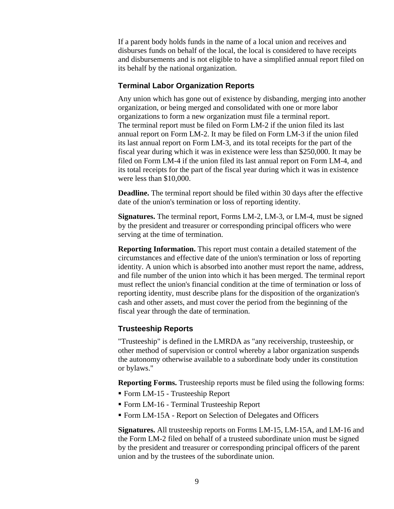If a parent body holds funds in the name of a local union and receives and disburses funds on behalf of the local, the local is considered to have receipts and disbursements and is not eligible to have a simplified annual report filed on its behalf by the national organization.

#### **Terminal Labor Organization Reports**

Any union which has gone out of existence by disbanding, merging into another organization, or being merged and consolidated with one or more labor organizations to form a new organization must file a terminal report. The terminal report must be filed on Form LM-2 if the union filed its last annual report on Form LM-2. It may be filed on Form LM-3 if the union filed its last annual report on Form LM-3, and its total receipts for the part of the fiscal year during which it was in existence were less than \$250,000. It may be filed on Form LM-4 if the union filed its last annual report on Form LM-4, and its total receipts for the part of the fiscal year during which it was in existence were less than \$10,000.

**Deadline.** The terminal report should be filed within 30 days after the effective date of the union's termination or loss of reporting identity.

**Signatures.** The terminal report, Forms LM-2, LM-3, or LM-4, must be signed by the president and treasurer or corresponding principal officers who were serving at the time of termination.

**Reporting Information.** This report must contain a detailed statement of the circumstances and effective date of the union's termination or loss of reporting identity. A union which is absorbed into another must report the name, address, and file number of the union into which it has been merged. The terminal report must reflect the union's financial condition at the time of termination or loss of reporting identity, must describe plans for the disposition of the organization's cash and other assets, and must cover the period from the beginning of the fiscal year through the date of termination.

#### **Trusteeship Reports**

"Trusteeship" is defined in the LMRDA as "any receivership, trusteeship, or other method of supervision or control whereby a labor organization suspends the autonomy otherwise available to a subordinate body under its constitution or bylaws."

**Reporting Forms.** Trusteeship reports must be filed using the following forms:

- Form LM-15 Trusteeship Report
- Form LM-16 Terminal Trusteeship Report
- Form LM-15A Report on Selection of Delegates and Officers

**Signatures.** All trusteeship reports on Forms LM-15, LM-15A, and LM-16 and the Form LM-2 filed on behalf of a trusteed subordinate union must be signed by the president and treasurer or corresponding principal officers of the parent union and by the trustees of the subordinate union.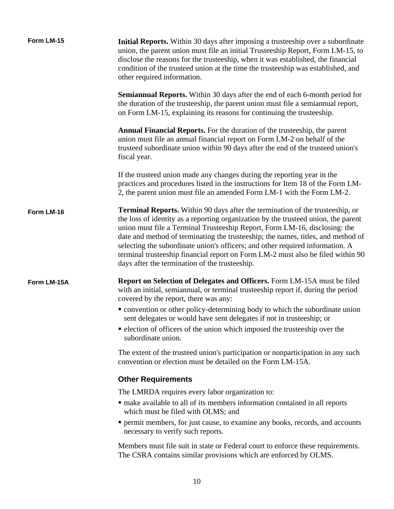| Form LM-15  | Initial Reports. Within 30 days after imposing a trusteeship over a subordinate<br>union, the parent union must file an initial Trusteeship Report, Form LM-15, to<br>disclose the reasons for the trusteeship, when it was established, the financial<br>condition of the trusteed union at the time the trusteeship was established, and<br>other required information.                                                                                                                                                                                          |
|-------------|--------------------------------------------------------------------------------------------------------------------------------------------------------------------------------------------------------------------------------------------------------------------------------------------------------------------------------------------------------------------------------------------------------------------------------------------------------------------------------------------------------------------------------------------------------------------|
|             | <b>Semiannual Reports.</b> Within 30 days after the end of each 6-month period for<br>the duration of the trusteeship, the parent union must file a semiannual report,<br>on Form LM-15, explaining its reasons for continuing the trusteeship.                                                                                                                                                                                                                                                                                                                    |
|             | <b>Annual Financial Reports.</b> For the duration of the trusteeship, the parent<br>union must file an annual financial report on Form LM-2 on behalf of the<br>trusteed subordinate union within 90 days after the end of the trusteed union's<br>fiscal year.                                                                                                                                                                                                                                                                                                    |
|             | If the trusteed union made any changes during the reporting year in the<br>practices and procedures listed in the instructions for Item 18 of the Form LM-<br>2, the parent union must file an amended Form LM-1 with the Form LM-2.                                                                                                                                                                                                                                                                                                                               |
| Form LM-16  | <b>Terminal Reports.</b> Within 90 days after the termination of the trusteeship, or<br>the loss of identity as a reporting organization by the trusteed union, the parent<br>union must file a Terminal Trusteeship Report, Form LM-16, disclosing: the<br>date and method of terminating the trusteeship; the names, titles, and method of<br>selecting the subordinate union's officers; and other required information. A<br>terminal trusteeship financial report on Form LM-2 must also be filed within 90<br>days after the termination of the trusteeship. |
| Form LM-15A | <b>Report on Selection of Delegates and Officers.</b> Form LM-15A must be filed<br>with an initial, semiannual, or terminal trusteeship report if, during the period<br>covered by the report, there was any:                                                                                                                                                                                                                                                                                                                                                      |
|             | • convention or other policy-determining body to which the subordinate union<br>sent delegates or would have sent delegates if not in trusteeship; or                                                                                                                                                                                                                                                                                                                                                                                                              |
|             | • election of officers of the union which imposed the trusteeship over the<br>subordinate union.                                                                                                                                                                                                                                                                                                                                                                                                                                                                   |
|             | The extent of the trusteed union's participation or nonparticipation in any such<br>convention or election must be detailed on the Form LM-15A.                                                                                                                                                                                                                                                                                                                                                                                                                    |
|             | <b>Other Requirements</b>                                                                                                                                                                                                                                                                                                                                                                                                                                                                                                                                          |
|             | The LMRDA requires every labor organization to:                                                                                                                                                                                                                                                                                                                                                                                                                                                                                                                    |
|             | · make available to all of its members information contained in all reports<br>which must be filed with OLMS; and                                                                                                                                                                                                                                                                                                                                                                                                                                                  |
|             | • permit members, for just cause, to examine any books, records, and accounts<br>necessary to verify such reports.                                                                                                                                                                                                                                                                                                                                                                                                                                                 |
|             | Members must file suit in state or Federal court to enforce these requirements.<br>The CSRA contains similar provisions which are enforced by OLMS.                                                                                                                                                                                                                                                                                                                                                                                                                |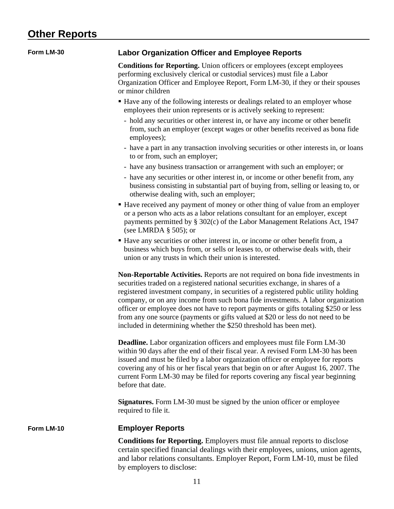# **Other Reports**

| Form LM-30 | <b>Labor Organization Officer and Employee Reports</b>                                                                                                                                                                                                                                                                                                                                                                                                                                                                                                                                              |
|------------|-----------------------------------------------------------------------------------------------------------------------------------------------------------------------------------------------------------------------------------------------------------------------------------------------------------------------------------------------------------------------------------------------------------------------------------------------------------------------------------------------------------------------------------------------------------------------------------------------------|
|            | <b>Conditions for Reporting.</b> Union officers or employees (except employees<br>performing exclusively clerical or custodial services) must file a Labor<br>Organization Officer and Employee Report, Form LM-30, if they or their spouses<br>or minor children                                                                                                                                                                                                                                                                                                                                   |
|            | • Have any of the following interests or dealings related to an employer whose<br>employees their union represents or is actively seeking to represent:                                                                                                                                                                                                                                                                                                                                                                                                                                             |
|            | - hold any securities or other interest in, or have any income or other benefit<br>from, such an employer (except wages or other benefits received as bona fide<br>employees);                                                                                                                                                                                                                                                                                                                                                                                                                      |
|            | - have a part in any transaction involving securities or other interests in, or loans<br>to or from, such an employer;                                                                                                                                                                                                                                                                                                                                                                                                                                                                              |
|            | - have any business transaction or arrangement with such an employer; or<br>- have any securities or other interest in, or income or other benefit from, any<br>business consisting in substantial part of buying from, selling or leasing to, or<br>otherwise dealing with, such an employer;                                                                                                                                                                                                                                                                                                      |
|            | • Have received any payment of money or other thing of value from an employer<br>or a person who acts as a labor relations consultant for an employer, except<br>payments permitted by § 302(c) of the Labor Management Relations Act, 1947<br>(see LMRDA $\S$ 505); or                                                                                                                                                                                                                                                                                                                             |
|            | • Have any securities or other interest in, or income or other benefit from, a<br>business which buys from, or sells or leases to, or otherwise deals with, their<br>union or any trusts in which their union is interested.                                                                                                                                                                                                                                                                                                                                                                        |
|            | <b>Non-Reportable Activities.</b> Reports are not required on bona fide investments in<br>securities traded on a registered national securities exchange, in shares of a<br>registered investment company, in securities of a registered public utility holding<br>company, or on any income from such bona fide investments. A labor organization<br>officer or employee does not have to report payments or gifts totaling \$250 or less<br>from any one source (payments or gifts valued at \$20 or less do not need to be<br>included in determining whether the \$250 threshold has been met). |
|            | Deadline. Labor organization officers and employees must file Form LM-30<br>within 90 days after the end of their fiscal year. A revised Form LM-30 has been<br>issued and must be filed by a labor organization officer or employee for reports<br>covering any of his or her fiscal years that begin on or after August 16, 2007. The<br>current Form LM-30 may be filed for reports covering any fiscal year beginning<br>before that date.                                                                                                                                                      |
|            | <b>Signatures.</b> Form LM-30 must be signed by the union officer or employee<br>required to file it.                                                                                                                                                                                                                                                                                                                                                                                                                                                                                               |
| Form LM-10 | <b>Employer Reports</b>                                                                                                                                                                                                                                                                                                                                                                                                                                                                                                                                                                             |
|            | <b>Conditions for Reporting.</b> Employers must file annual reports to disclose<br>certain specified financial dealings with their employees, unions, union agents,<br>and labor relations consultants. Employer Report, Form LM-10, must be filed<br>by employers to disclose:                                                                                                                                                                                                                                                                                                                     |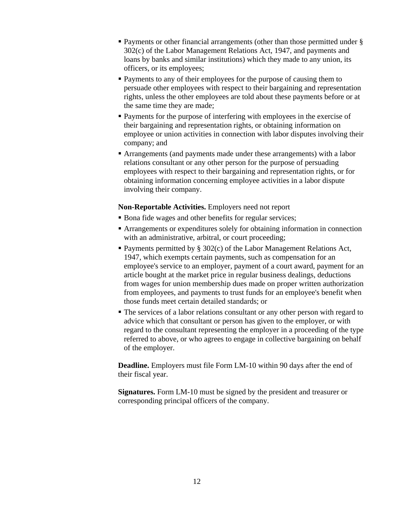- Payments or other financial arrangements (other than those permitted under § 302(c) of the Labor Management Relations Act, 1947, and payments and loans by banks and similar institutions) which they made to any union, its officers, or its employees;
- Payments to any of their employees for the purpose of causing them to persuade other employees with respect to their bargaining and representation rights, unless the other employees are told about these payments before or at the same time they are made;
- **Payments for the purpose of interfering with employees in the exercise of** their bargaining and representation rights, or obtaining information on employee or union activities in connection with labor disputes involving their company; and
- Arrangements (and payments made under these arrangements) with a labor relations consultant or any other person for the purpose of persuading employees with respect to their bargaining and representation rights, or for obtaining information concerning employee activities in a labor dispute involving their company.

#### **Non-Reportable Activities.** Employers need not report

- **Bona fide wages and other benefits for regular services;**
- Arrangements or expenditures solely for obtaining information in connection with an administrative, arbitral, or court proceeding;
- Payments permitted by § 302(c) of the Labor Management Relations Act, 1947, which exempts certain payments, such as compensation for an employee's service to an employer, payment of a court award, payment for an article bought at the market price in regular business dealings, deductions from wages for union membership dues made on proper written authorization from employees, and payments to trust funds for an employee's benefit when those funds meet certain detailed standards; or
- The services of a labor relations consultant or any other person with regard to advice which that consultant or person has given to the employer, or with regard to the consultant representing the employer in a proceeding of the type referred to above, or who agrees to engage in collective bargaining on behalf of the employer.

**Deadline.** Employers must file Form LM-10 within 90 days after the end of their fiscal year.

**Signatures.** Form LM-10 must be signed by the president and treasurer or corresponding principal officers of the company.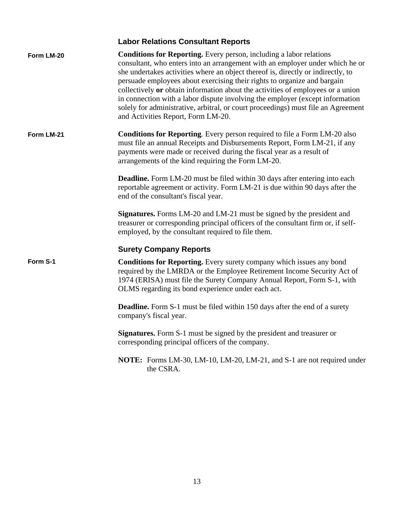### **Labor Relations Consultant Reports**

| Form LM-20 | <b>Conditions for Reporting.</b> Every person, including a labor relations<br>consultant, who enters into an arrangement with an employer under which he or<br>she undertakes activities where an object thereof is, directly or indirectly, to<br>persuade employees about exercising their rights to organize and bargain<br>collectively or obtain information about the activities of employees or a union<br>in connection with a labor dispute involving the employer (except information<br>solely for administrative, arbitral, or court proceedings) must file an Agreement<br>and Activities Report, Form LM-20. |
|------------|----------------------------------------------------------------------------------------------------------------------------------------------------------------------------------------------------------------------------------------------------------------------------------------------------------------------------------------------------------------------------------------------------------------------------------------------------------------------------------------------------------------------------------------------------------------------------------------------------------------------------|
| Form LM-21 | <b>Conditions for Reporting.</b> Every person required to file a Form LM-20 also<br>must file an annual Receipts and Disbursements Report, Form LM-21, if any<br>payments were made or received during the fiscal year as a result of<br>arrangements of the kind requiring the Form LM-20.                                                                                                                                                                                                                                                                                                                                |
|            | <b>Deadline.</b> Form LM-20 must be filed within 30 days after entering into each<br>reportable agreement or activity. Form LM-21 is due within 90 days after the<br>end of the consultant's fiscal year.                                                                                                                                                                                                                                                                                                                                                                                                                  |
|            | <b>Signatures.</b> Forms LM-20 and LM-21 must be signed by the president and<br>treasurer or corresponding principal officers of the consultant firm or, if self-<br>employed, by the consultant required to file them.                                                                                                                                                                                                                                                                                                                                                                                                    |
|            | <b>Surety Company Reports</b>                                                                                                                                                                                                                                                                                                                                                                                                                                                                                                                                                                                              |
| Form S-1   | Conditions for Reporting. Every surety company which issues any bond<br>required by the LMRDA or the Employee Retirement Income Security Act of<br>1974 (ERISA) must file the Surety Company Annual Report, Form S-1, with<br>OLMS regarding its bond experience under each act.                                                                                                                                                                                                                                                                                                                                           |
|            | <b>Deadline.</b> Form S-1 must be filed within 150 days after the end of a surety<br>company's fiscal year.                                                                                                                                                                                                                                                                                                                                                                                                                                                                                                                |
|            | <b>Signatures.</b> Form S-1 must be signed by the president and treasurer or<br>corresponding principal officers of the company.                                                                                                                                                                                                                                                                                                                                                                                                                                                                                           |
|            | <b>NOTE:</b> Forms LM-30, LM-10, LM-20, LM-21, and S-1 are not required under<br>the CSRA.                                                                                                                                                                                                                                                                                                                                                                                                                                                                                                                                 |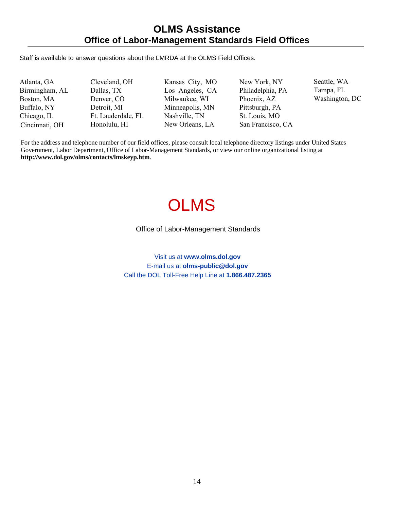#### **OLMS Assistance Office of Labor-Management Standards Field Offices**

Staff is available to answer questions about the LMRDA at the OLMS Field Offices.

Atlanta, GA Birmingham, AL Boston, MA Buffalo, NY Chicago, IL Cincinnati, OH

Cleveland, OH Dallas, TX Denver, CO Detroit, MI Ft. Lauderdale, FL Honolulu, HI

Kansas City, MO Los Angeles, CA Milwaukee, WI Minneapolis, MN Nashville, TN New Orleans, LA

New York, NY Philadelphia, PA Phoenix, AZ Pittsburgh, PA St. Louis, MO San Francisco, CA Seattle, WA Tampa, FL Washington, DC

For the address and telephone number of our field offices, please consult local telephone directory listings under United States Government, Labor Department, Office of Labor-Management Standards, or view our online organizational listing at **http://www.dol.gov/olms/contacts/lmskeyp.htm**.

# **OLMS**

#### Office of Labor-Management Standards

Visit us at **www.olms.dol.gov** E-mail us at **olms-public@dol.gov** Call the DOL Toll-Free Help Line at **1.866.487.2365**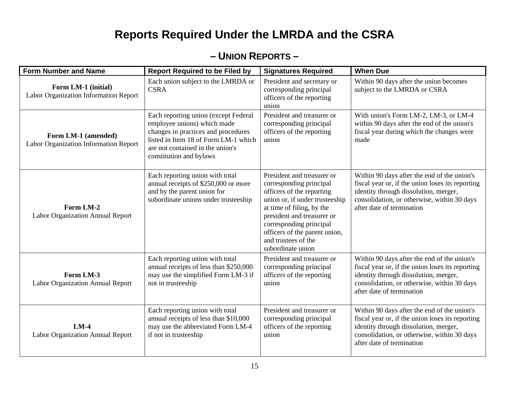# **Reports Required Under the LMRDA and the CSRA**

### **– UNION REPORTS –**

| <b>Form Number and Name</b>                                  | <b>Report Required to be Filed by</b>                                                                                                                                                                             | <b>Signatures Required</b>                                                                                                                                                                                                                                                              | <b>When Due</b>                                                                                                                                                                                                      |
|--------------------------------------------------------------|-------------------------------------------------------------------------------------------------------------------------------------------------------------------------------------------------------------------|-----------------------------------------------------------------------------------------------------------------------------------------------------------------------------------------------------------------------------------------------------------------------------------------|----------------------------------------------------------------------------------------------------------------------------------------------------------------------------------------------------------------------|
| Form LM-1 (initial)<br>Labor Organization Information Report | Each union subject to the LMRDA or<br><b>CSRA</b>                                                                                                                                                                 | President and secretary or<br>corresponding principal<br>officers of the reporting<br>union                                                                                                                                                                                             | Within 90 days after the union becomes<br>subject to the LMRDA or CSRA                                                                                                                                               |
| Form LM-1 (amended)<br>Labor Organization Information Report | Each reporting union (except Federal<br>employee unions) which made<br>changes in practices and procedures<br>listed in Item 18 of Form LM-1 which<br>are not contained in the union's<br>constitution and bylaws | President and treasurer or<br>corresponding principal<br>officers of the reporting<br>union                                                                                                                                                                                             | With union's Form LM-2, LM-3, or LM-4<br>within 90 days after the end of the union's<br>fiscal year during which the changes were<br>made                                                                            |
| Form LM-2<br>Labor Organization Annual Report                | Each reporting union with total<br>annual receipts of \$250,000 or more<br>and by the parent union for<br>subordinate unions under trusteeship                                                                    | President and treasurer or<br>corresponding principal<br>officers of the reporting<br>union or, if under trusteeship<br>at time of filing, by the<br>president and treasurer or<br>corresponding principal<br>officers of the parent union,<br>and trustees of the<br>subordinate union | Within 90 days after the end of the union's<br>fiscal year or, if the union loses its reporting<br>identity through dissolution, merger,<br>consolidation, or otherwise, within 30 days<br>after date of termination |
| Form LM-3<br>Labor Organization Annual Report                | Each reporting union with total<br>annual receipts of less than \$250,000<br>may use the simplified Form LM-3 if<br>not in trusteeship                                                                            | President and treasurer or<br>corresponding principal<br>officers of the reporting<br>union                                                                                                                                                                                             | Within 90 days after the end of the union's<br>fiscal year or, if the union loses its reporting<br>identity through dissolution, merger,<br>consolidation, or otherwise, within 30 days<br>after date of termination |
| $LM-4$<br>Labor Organization Annual Report                   | Each reporting union with total<br>annual receipts of less than \$10,000<br>may use the abbreviated Form LM-4<br>if not in trusteeship                                                                            | President and treasurer or<br>corresponding principal<br>officers of the reporting<br>union                                                                                                                                                                                             | Within 90 days after the end of the union's<br>fiscal year or, if the union loses its reporting<br>identity through dissolution, merger,<br>consolidation, or otherwise, within 30 days<br>after date of termination |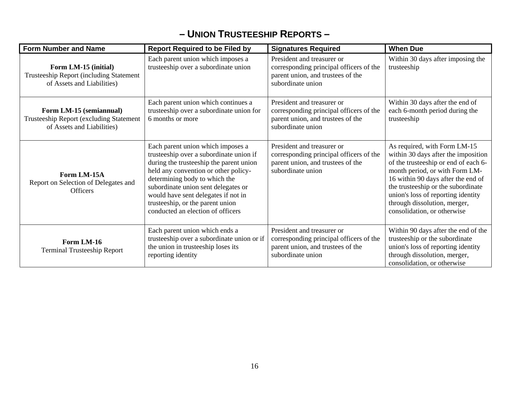### **– UNION TRUSTEESHIP REPORTS –**

| <b>Form Number and Name</b>                                                                           | <b>Report Required to be Filed by</b>                                                                                                                                                                                                                                                                                                                   | <b>Signatures Required</b>                                                                                                      | <b>When Due</b>                                                                                                                                                                                                                                                                                                                |
|-------------------------------------------------------------------------------------------------------|---------------------------------------------------------------------------------------------------------------------------------------------------------------------------------------------------------------------------------------------------------------------------------------------------------------------------------------------------------|---------------------------------------------------------------------------------------------------------------------------------|--------------------------------------------------------------------------------------------------------------------------------------------------------------------------------------------------------------------------------------------------------------------------------------------------------------------------------|
| Form LM-15 (initial)<br><b>Trusteeship Report (including Statement)</b><br>of Assets and Liabilities) | Each parent union which imposes a<br>trusteeship over a subordinate union                                                                                                                                                                                                                                                                               | President and treasurer or<br>corresponding principal officers of the<br>parent union, and trustees of the<br>subordinate union | Within 30 days after imposing the<br>trusteeship                                                                                                                                                                                                                                                                               |
| Form LM-15 (semiannual)<br>Trusteeship Report (excluding Statement<br>of Assets and Liabilities)      | Each parent union which continues a<br>trusteeship over a subordinate union for<br>6 months or more                                                                                                                                                                                                                                                     | President and treasurer or<br>corresponding principal officers of the<br>parent union, and trustees of the<br>subordinate union | Within 30 days after the end of<br>each 6-month period during the<br>trusteeship                                                                                                                                                                                                                                               |
| Form LM-15A<br>Report on Selection of Delegates and<br><b>Officers</b>                                | Each parent union which imposes a<br>trusteeship over a subordinate union if<br>during the trusteeship the parent union<br>held any convention or other policy-<br>determining body to which the<br>subordinate union sent delegates or<br>would have sent delegates if not in<br>trusteeship, or the parent union<br>conducted an election of officers | President and treasurer or<br>corresponding principal officers of the<br>parent union, and trustees of the<br>subordinate union | As required, with Form LM-15<br>within 30 days after the imposition<br>of the trusteeship or end of each 6-<br>month period, or with Form LM-<br>16 within 90 days after the end of<br>the trusteeship or the subordinate<br>union's loss of reporting identity<br>through dissolution, merger,<br>consolidation, or otherwise |
| Form LM-16<br><b>Terminal Trusteeship Report</b>                                                      | Each parent union which ends a<br>trusteeship over a subordinate union or if<br>the union in trusteeship loses its<br>reporting identity                                                                                                                                                                                                                | President and treasurer or<br>corresponding principal officers of the<br>parent union, and trustees of the<br>subordinate union | Within 90 days after the end of the<br>trusteeship or the subordinate<br>union's loss of reporting identity<br>through dissolution, merger,<br>consolidation, or otherwise                                                                                                                                                     |